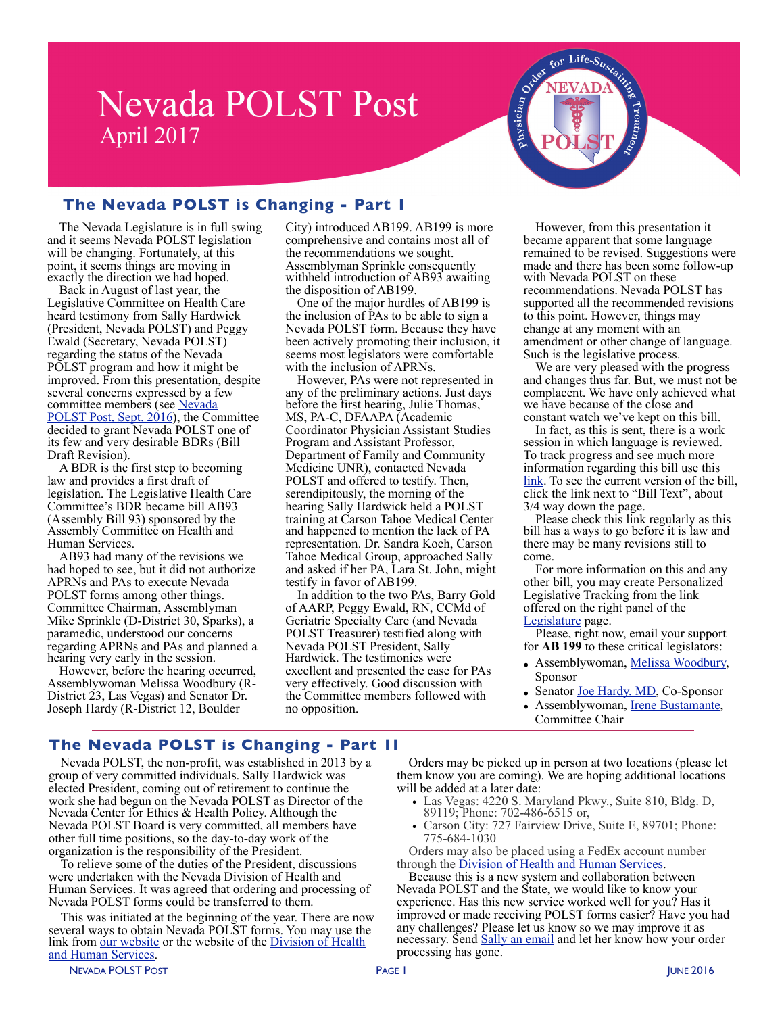# **Nevada POLST Post** April 2017



# **The Nevada POLST is Changing - Part 1**

The Nevada Legislature is in full swing and it seems Nevada POLST legislation will be changing. Fortunately, at this point, it seems things are moving in exactly the direction we had hoped.

Back in August of last year, the Legislative Committee on Health Care heard testimony from Sally Hardwick (President, Nevada POLST) and Peggy Ewald (Secretary, Nevada POLST) regarding the status of the Nevada POLST program and how it might be improved. From this presentation, despite several concerns expressed by a few committee members (see Nevada [POLST Post, Sept. 2016\)](http://www.nevadapolst.org/wp-content/uploads/2017/04/NVPOLSTPost-10.2016.pdf), the Committee decided to grant Nevada POLST one of its few and very desirable BDRs (Bill Draft Revision).

A BDR is the first step to becoming law and provides a first draft of legislation. The Legislative Health Care Committee's BDR became bill AB93 (Assembly Bill 93) sponsored by the Assembly Committee on Health and Human Services.

AB93 had many of the revisions we had hoped to see, but it did not authorize APRNs and PAs to execute Nevada POLST forms among other things. Committee Chairman, Assemblyman Mike Sprinkle (D-District 30, Sparks), a paramedic, understood our concerns regarding APRNs and PAs and planned a hearing very early in the session.

However, before the hearing occurred, Assemblywoman Melissa Woodbury (R-District 23, Las Vegas) and Senator Dr. Joseph Hardy (R-District 12, Boulder

City) introduced AB199. AB199 is more comprehensive and contains most all of the recommendations we sought. Assemblyman Sprinkle consequently withheld introduction of AB93 awaiting the disposition of AB199.

One of the major hurdles of AB199 is the inclusion of PAs to be able to sign a Nevada POLST form. Because they have been actively promoting their inclusion, it seems most legislators were comfortable with the inclusion of APRNs.

However, PAs were not represented in any of the preliminary actions. Just days before the first hearing, Julie Thomas, MS, PA-C, DFAAPA (Academic Coordinator Physician Assistant Studies Program and Assistant Professor, Department of Family and Community Medicine UNR), contacted Nevada POLST and offered to testify. Then, serendipitously, the morning of the hearing Sally Hardwick held a POLST training at Carson Tahoe Medical Center and happened to mention the lack of PA representation. Dr. Sandra Koch, Carson Tahoe Medical Group, approached Sally and asked if her PA, Lara St. John, might testify in favor of AB199.

In addition to the two PAs, Barry Gold of AARP, Peggy Ewald, RN, CCMd of Geriatric Specialty Care (and Nevada POLST Treasurer) testified along with Nevada POLST President, Sally Hardwick. The testimonies were excellent and presented the case for PAs very effectively. Good discussion with the Committee members followed with no opposition.

However, from this presentation it became apparent that some language remained to be revised. Suggestions were made and there has been some follow-up with Nevada POLST on these recommendations. Nevada POLST has supported all the recommended revisions to this point. However, things may change at any moment with an amendment or other change of language. Such is the legislative process.

We are very pleased with the progress and changes thus far. But, we must not be complacent. We have only achieved what we have because of the close and constant watch we've kept on this bill.

In fact, as this is sent, there is a work session in which language is reviewed. To track progress and see much more information regarding this bill use this [link.](https://www.leg.state.nv.us/Session/79th2017/Reports/history.cfm?BillName=AB199) To see the current version of the bill, click the link next to "Bill Text", about

3/4 way down the page.<br>Please check this link regularly as this bill has a ways to go before it is law and there may be many revisions still to come.

For more information on this and any other bill, you may create Personalized Legislative Tracking from the link offered on the right panel of the [Legislature](https://www.leg.state.nv.us) page.

Please, right now, email your support for **AB 199** to these critical legislators:

- Assemblywoman, [Melissa Woodbury,](mailto:Melissa.Woodbury@asm.state.nv.us?subject=AB%20199%20Support) Sponsor
- Senator <u>Joe Hardy, MD</u>, Co-Sponsor
- Assemblywoman, [Irene Bustamante,](mailto:Irene.BustamanteAdams@asm.state.nv.us?subject=AB%20199%20Support) Committee Chair

## **The Nevada POLST is Changing - Part 1I**

Nevada POLST, the non-profit, was established in 2013 by a group of very committed individuals. Sally Hardwick was elected President, coming out of retirement to continue the work she had begun on the Nevada POLST as Director of the Nevada Center for Ethics & Health Policy. Although the Nevada POLST Board is very committed, all members have other full time positions, so the day-to-day work of the organization is the responsibility of the President.

To relieve some of the duties of the President, discussions were undertaken with the Nevada Division of Health and Human Services. It was agreed that ordering and processing of Nevada POLST forms could be transferred to them.

This was initiated at the beginning of the year. There are now several ways to obtain Nevada POLST forms. You may use the link from [our website](http://www.nevadapolst.org/nevada-polst-form/order-polst-forms/) or the website of the Division of Health [and Human Services.](http://dpbh.nv.gov/Reg/DNR-POLST/Docs/POLST_form_request/)

NEVADA POLST POST POLITICS IN THE SERVER OF THE PAGE I AND THE SERVER OF THE SERVER OF THE SERVER OF THE SERVER OF THE SERVER OF THE SERVER OF THE SERVER OF THE SERVER OF THE SERVER OF THE SERVER OF THE SERVER OF THE SERVE

them know you are coming). We are hoping additional locations will be added at a later date: • Las Vegas: 4220 S. Maryland Pkwy., Suite 810, Bldg. D, 89119; Phone: 702-486-6515 or,

• Carson City: 727 Fairview Drive, Suite E, 89701; Phone: 775-684-1030

Orders may be picked up in person at two locations (please let

Orders may also be placed using a FedEx account number through the Division of Health and Human Services.

Because this is a new system and collaboration between. Nevada POLST and the State, we would like to know your experience. Has this new service worked well for you? Has it improved or made receiving POLST forms easier? Have you had any challenges? Please let us know so we may improve it as necessary. Send [Sally an email](mailto:no_reply@apple.com?subject=email%20subject) and let her know how your order processing has gone.